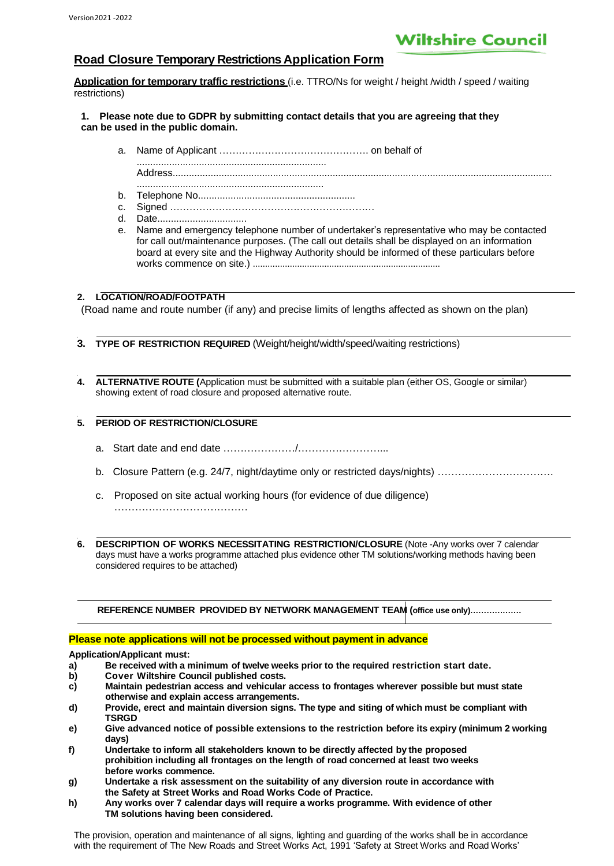# **Wiltshire Council**

# **Road Closure Temporary Restrictions Application Form**

**Application for temporary traffic restrictions** (i.e. TTRO/Ns for weight / height /width / speed / waiting restrictions)

#### **1. Please note due to GDPR by submitting contact details that you are agreeing that they can be used in the public domain.**

- a. Name of Applicant ………………………………………. on behalf of ...................................................................... Address............................................................................................................................................ .....................................................................
- b. Telephone No..........................................................
- c. Signed ………………………………………………………
- d. Date.................................
- e. Name and emergency telephone number of undertaker's representative who may be contacted for call out/maintenance purposes. (The call out details shall be displayed on an information board at every site and the Highway Authority should be informed of these particulars before works commence on site.) ............................................................................

#### 2. **2. LOCATION/ROAD/FOOTPATH**

(Road name and route number (if any) and precise limits of lengths affected as shown on the plan)

- **3. 3. TYPE OF RESTRICTION REQUIRED** (Weight/height/width/speed/waiting restrictions)
- **4. 4. ALTERNATIVE ROUTE (**Application must be submitted with a suitable plan (either OS, Google or similar) showing extent of road closure and proposed alternative route.

# **5. 5. PERIOD OF RESTRICTION/CLOSURE**

- a. Start date and end date …………………/……………………...
- b. Closure Pattern (e.g. 24/7, night/daytime only or restricted days/nights) …………………………….
- c. Proposed on site actual working hours (for evidence of due diligence) ……………………………………………
- **5. 6. DESCRIPTION OF WORKS NECESSITATING RESTRICTION/CLOSURE** (Note -Any works over 7 calendar days must have a works programme attached plus evidence other TM solutions/working methods having been considered requires to be attached)

**REFERENCE NUMBER PROVIDED BY NETWORK MANAGEMENT TEAM (office use only)……………….**

## **Please note applications will not be processed without payment in advance**

**Application/Applicant must:**

- **a) Be received with a minimum of twelve weeks prior to the required restriction start date.**
- **b) Cover Wiltshire Council published costs.**
- **c) Maintain pedestrian access and vehicular access to frontages wherever possible but must state otherwise and explain access arrangements.**
- **d) Provide, erect and maintain diversion signs. The type and siting of which must be compliant with TSRGD**
- **e) Give advanced notice of possible extensions to the restriction before its expiry (minimum 2 working days)**
- **f) Undertake to inform all stakeholders known to be directly affected by the proposed prohibition including all frontages on the length of road concerned at least two weeks before works commence.**
- **g) Undertake a risk assessment on the suitability of any diversion route in accordance with the Safety at Street Works and Road Works Code of Practice.**
- **h) Any works over 7 calendar days will require a works programme. With evidence of other TM solutions having been considered.**

The provision, operation and maintenance of all signs, lighting and guarding of the works shall be in accordance with the requirement of The New Roads and Street Works Act, 1991 'Safety at Street Works and Road Works'